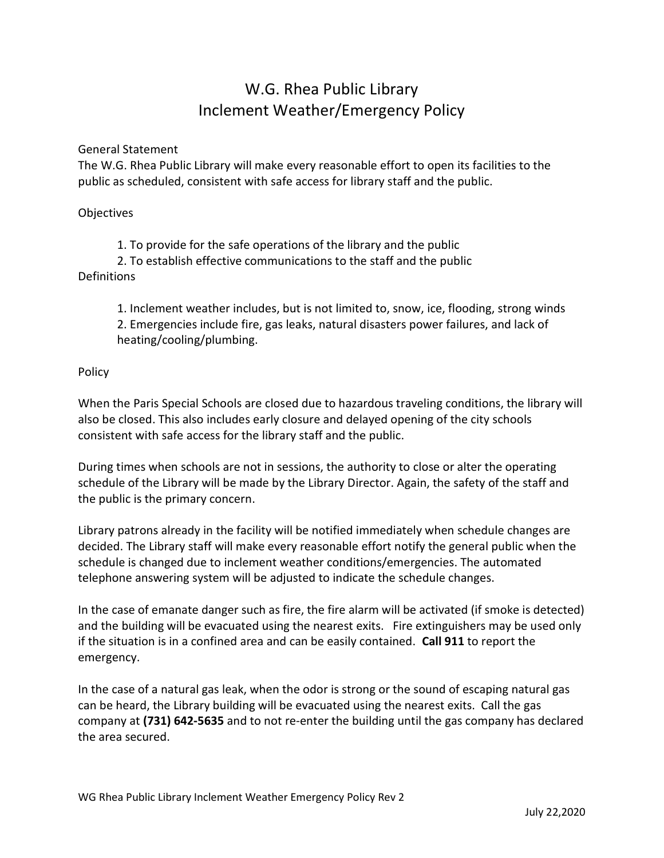## W.G. Rhea Public Library Inclement Weather/Emergency Policy

## General Statement

The W.G. Rhea Public Library will make every reasonable effort to open its facilities to the public as scheduled, consistent with safe access for library staff and the public.

## **Objectives**

1. To provide for the safe operations of the library and the public

2. To establish effective communications to the staff and the public **Definitions** 

1. Inclement weather includes, but is not limited to, snow, ice, flooding, strong winds 2. Emergencies include fire, gas leaks, natural disasters power failures, and lack of heating/cooling/plumbing.

## Policy

When the Paris Special Schools are closed due to hazardous traveling conditions, the library will also be closed. This also includes early closure and delayed opening of the city schools consistent with safe access for the library staff and the public.

During times when schools are not in sessions, the authority to close or alter the operating schedule of the Library will be made by the Library Director. Again, the safety of the staff and the public is the primary concern.

Library patrons already in the facility will be notified immediately when schedule changes are decided. The Library staff will make every reasonable effort notify the general public when the schedule is changed due to inclement weather conditions/emergencies. The automated telephone answering system will be adjusted to indicate the schedule changes.

In the case of emanate danger such as fire, the fire alarm will be activated (if smoke is detected) and the building will be evacuated using the nearest exits. Fire extinguishers may be used only if the situation is in a confined area and can be easily contained. Call 911 to report the emergency.

In the case of a natural gas leak, when the odor is strong or the sound of escaping natural gas can be heard, the Library building will be evacuated using the nearest exits. Call the gas company at (731) 642-5635 and to not re-enter the building until the gas company has declared the area secured.